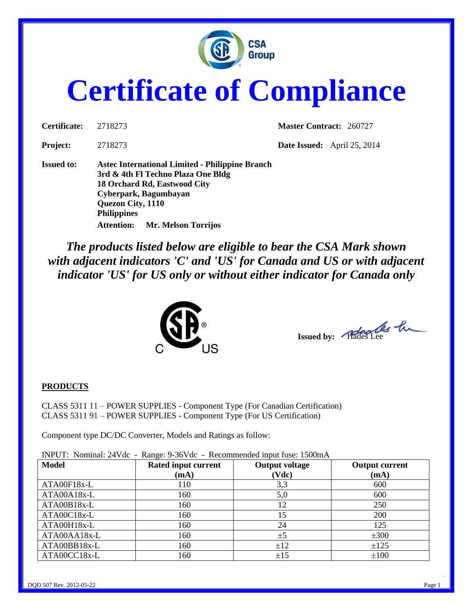

# **Certificate of Compliance**

| Certificate:      | 2718273                                                                                                                                                                                                                               | <b>Master Contract: 260727</b> |                                    |
|-------------------|---------------------------------------------------------------------------------------------------------------------------------------------------------------------------------------------------------------------------------------|--------------------------------|------------------------------------|
| <b>Project:</b>   | 2718273                                                                                                                                                                                                                               |                                | <b>Date Issued:</b> April 25, 2014 |
| <b>Issued to:</b> | Astec International Limited - Philippine Branch<br>3rd & 4th Fl Techno Plaza One Bldg<br>18 Orchard Rd, Eastwood City<br>Cyberpark, Bagumbayan<br>Quezon City, 1110<br><b>Philippines</b><br>Mr. Melson Torrijos<br><b>Attention:</b> |                                |                                    |

*The products listed below are eligible to bear the CSA Mark shown with adjacent indicators 'C' and 'US' for Canada and US or with adjacent indicator 'US' for US only or without either indicator for Canada only* 



Issued by: Placedes Lee

#### **PRODUCTS**

CLASS 5311 11 – POWER SUPPLIES - Component Type (For Canadian Certification) CLASS 5311 91 – POWER SUPPLIES - Component Type (For US Certification)

Component type DC/DC Converter, Models and Ratings as follow:

INPUT: Nominal: 24Vdc - Range: 9-36Vdc - Recommended input fuse: 1500mA **Model Rated input current (mA) Output voltage (Vdc) Output current (mA)** ATA00F18x-L 110 13,3 600 ATA00A18x-L 160 5,0 600 ATA00B18x-L 160 12 250 ATA00C18x-L 160 15 200 ATA00H18x-L 160 160 24 125  $ATA00AA18x-L$  160  $\pm 5$   $\pm 300$  $ATA00BB18x-L$  160  $\pm 12$   $\pm 125$  $\text{ATA00CC18x-L}$   $\qquad \qquad$  160  $\qquad \qquad$   $\qquad \pm 15$   $\qquad \qquad$   $\qquad \pm 100$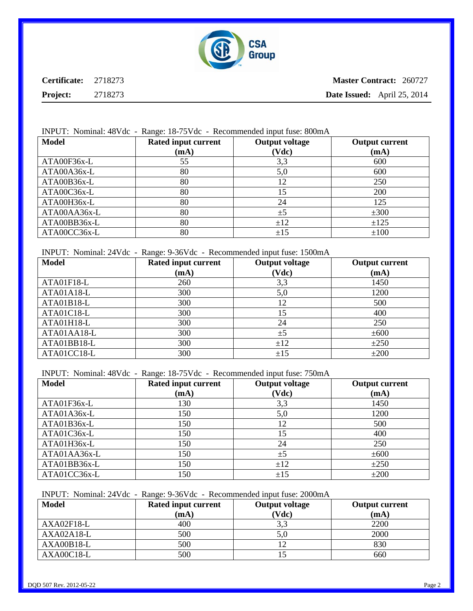

**Master Contract:** 260727 **Date Issued:** April 25, 2014

#### INPUT: Nominal: 48Vdc - Range: 18-75Vdc - Recommended input fuse: 800mA

| <b>Model</b> | Rated input current | <b>Output voltage</b> | <b>Output current</b> |
|--------------|---------------------|-----------------------|-----------------------|
|              | (mA)                | (Vdc)                 | (mA)                  |
| ATA00F36x-L  | 55                  | 3,3                   | 600                   |
| ATA00A36x-L  | 80                  | 5,0                   | 600                   |
| ATA00B36x-L  | 80                  | 12                    | 250                   |
| ATA00C36x-L  | 80                  | 15                    | 200                   |
| ATA00H36x-L  | 80                  | 24                    | 125                   |
| ATA00AA36x-L | 80                  | ±5                    | ±300                  |
| ATA00BB36x-L | 80                  | ±12                   | ±125                  |
| ATA00CC36x-L | 80                  | ±15                   | ±100                  |

INPUT: Nominal: 24Vdc - Range: 9-36Vdc - Recommended input fuse: 1500mA

| <b>Model</b> | Rated input current | <b>Output voltage</b> | <b>Output current</b> |
|--------------|---------------------|-----------------------|-----------------------|
|              | (mA)                | (Vdc)                 | (mA)                  |
| ATA01F18-L   | 260                 | 3,3                   | 1450                  |
| ATA01A18-L   | 300                 | 5,0                   | 1200                  |
| ATA01B18-L   | 300                 | 12                    | 500                   |
| ATA01C18-L   | 300                 | 15                    | 400                   |
| ATA01H18-L   | 300                 | 24                    | 250                   |
| ATA01AA18-L  | 300                 | ±5                    | ±600                  |
| ATA01BB18-L  | 300                 | ±12                   | ±250                  |
| ATA01CC18-L  | 300                 | ±15                   | $\pm 200$             |

INPUT: Nominal: 48Vdc - Range: 18-75Vdc - Recommended input fuse: 750mA

| <b>Model</b> | Rated input current | <b>Output voltage</b> | <b>Output current</b> |
|--------------|---------------------|-----------------------|-----------------------|
|              | (mA)                | (Vdc)                 | (mA)                  |
| ATA01F36x-L  | 130                 | 3,3                   | 1450                  |
| ATA01A36x-L  | 150                 | 5,0                   | 1200                  |
| ATA01B36x-L  | 150                 | 12                    | 500                   |
| ATA01C36x-L  | 150                 | 15                    | 400                   |
| ATA01H36x-L  | 150                 | 24                    | 250                   |
| ATA01AA36x-L | 150                 | ±5                    | ±600                  |
| ATA01BB36x-L | 150                 | ±12                   | ±250                  |
| ATA01CC36x-L | 150                 | ±15                   | $\pm 200$             |

INPUT: Nominal: 24Vdc - Range: 9-36Vdc - Recommended input fuse: 2000mA

| <b>Model</b> | Rated input current | <b>Output voltage</b> | <b>Output current</b> |
|--------------|---------------------|-----------------------|-----------------------|
|              | (mA)                | (Vdc)                 | (mA)                  |
| AXA02F18-L   | 400                 | 3,3                   | 2200                  |
| $AXA02A18-L$ | 500                 | 5,0                   | 2000                  |
| $AXA00B18-L$ | 500                 |                       | 830                   |
| AXA00C18-L   | 500                 |                       | 660                   |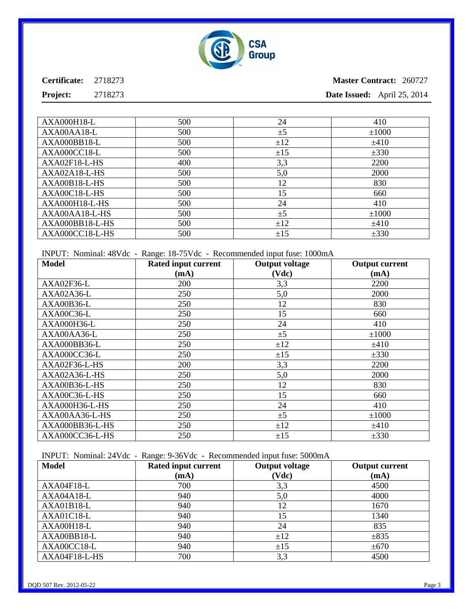

**Project:** 2718273

## **Master Contract:** 260727 **Date Issued:** April 25, 2014

| <b>AXA000H18-L</b> | 500 | 24  | 410        |
|--------------------|-----|-----|------------|
| AXA00AA18-L        | 500 | ±5  | $\pm 1000$ |
| AXA000BB18-L       | 500 | ±12 | ±410       |
| AXA000CC18-L       | 500 | ±15 | ±330       |
| AXA02F18-L-HS      | 400 | 3,3 | 2200       |
| AXA02A18-L-HS      | 500 | 5,0 | 2000       |
| AXA00B18-L-HS      | 500 | 12  | 830        |
| AXA00C18-L-HS      | 500 | 15  | 660        |
| AXA000H18-L-HS     | 500 | 24  | 410        |
| AXA00AA18-L-HS     | 500 | ±5  | $\pm 1000$ |
| $AXA000BB18-L-HS$  | 500 | ±12 | ±410       |
| AXA000CC18-L-HS    | 500 | ±15 | ±330       |

INPUT: Nominal: 48Vdc - Range: 18-75Vdc - Recommended input fuse: 1000mA

| <b>Model</b>       | <b>Rated input current</b> | <b>Output voltage</b> | <b>Output current</b> |
|--------------------|----------------------------|-----------------------|-----------------------|
|                    | (mA)                       | (Vdc)                 | (mA)                  |
| AXA02F36-L         | 200                        | 3,3                   | 2200                  |
| AXA02A36-L         | 250                        | 5,0                   | 2000                  |
| AXA00B36-L         | 250                        | 12                    | 830                   |
| AXA00C36-L         | 250                        | 15                    | 660                   |
| <b>AXA000H36-L</b> | 250                        | 24                    | 410                   |
| AXA00AA36-L        | 250                        | ±5                    | ±1000                 |
| AXA000BB36-L       | 250                        | ±12                   | ±410                  |
| AXA000CC36-L       | 250                        | ±15                   | $\pm 330$             |
| AXA02F36-L-HS      | 200                        | 3,3                   | 2200                  |
| AXA02A36-L-HS      | 250                        | 5,0                   | 2000                  |
| AXA00B36-L-HS      | 250                        | 12                    | 830                   |
| AXA00C36-L-HS      | 250                        | 15                    | 660                   |
| AXA000H36-L-HS     | 250                        | 24                    | 410                   |
| AXA00AA36-L-HS     | 250                        | ±5                    | ±1000                 |
| AXA000BB36-L-HS    | 250                        | ±12                   | ±410                  |
| AXA000CC36-L-HS    | 250                        | ±15                   | $\pm 330$             |

INPUT: Nominal: 24Vdc - Range: 9-36Vdc - Recommended input fuse: 5000mA

| <b>Model</b>  | Rated input current | <b>Output voltage</b> | <b>Output current</b> |
|---------------|---------------------|-----------------------|-----------------------|
|               | (mA)                | (Vdc)                 | (mA)                  |
| AXA04F18-L    | 700                 | 3,3                   | 4500                  |
| AXA04A18-L    | 940                 | 5,0                   | 4000                  |
| $AXA01B18-L$  | 940                 | 12                    | 1670                  |
| AXA01C18-L    | 940                 | 15                    | 1340                  |
| AXA00H18-L    | 940                 | 24                    | 835                   |
| AXA00BB18-L   | 940                 | ±12                   | $\pm 835$             |
| AXA00CC18-L   | 940                 | ±15                   | ±670                  |
| AXA04F18-L-HS | 700                 | 3,3                   | 4500                  |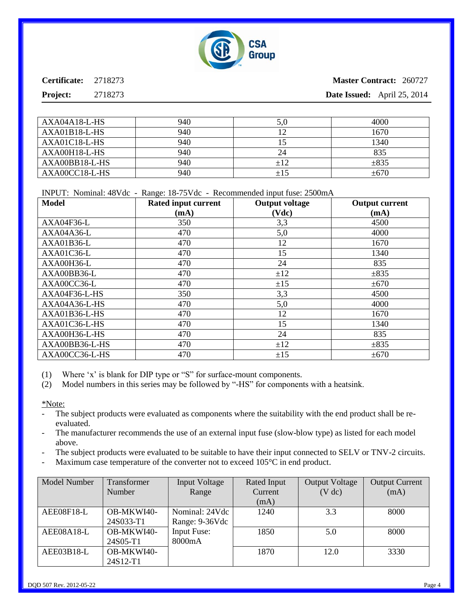

**Project:** 2718273

## **Master Contract:** 260727 **Date Issued:** April 25, 2014

| AXA04A18-L-HS  | 940 | 5,0 | 4000      |
|----------------|-----|-----|-----------|
| AXA01B18-L-HS  | 940 |     | 1670      |
| AXA01C18-L-HS  | 940 |     | 1340      |
| AXA00H18-L-HS  | 940 | 24  | 835       |
| AXA00BB18-L-HS | 940 | ±12 | $\pm 835$ |
| AXA00CC18-L-HS | 940 | ±15 | $\pm 670$ |

INPUT: Nominal: 48Vdc - Range: 18-75Vdc - Recommended input fuse: 2500mA

| Model          | Rated input current | <b>Output voltage</b> | <b>Output current</b> |
|----------------|---------------------|-----------------------|-----------------------|
|                | (mA)                | (Vdc)                 | (mA)                  |
| AXA04F36-L     | 350                 | 3,3                   | 4500                  |
| AXA04A36-L     | 470                 | 5,0                   | 4000                  |
| $AXA01B36-L$   | 470                 | 12                    | 1670                  |
| AXA01C36-L     | 470                 | 15                    | 1340                  |
| AXA00H36-L     | 470                 | 24                    | 835                   |
| AXA00BB36-L    | 470                 | ±12                   | $\pm 835$             |
| AXA00CC36-L    | 470                 | ±15                   | ±670                  |
| AXA04F36-L-HS  | 350                 | 3,3                   | 4500                  |
| AXA04A36-L-HS  | 470                 | 5,0                   | 4000                  |
| AXA01B36-L-HS  | 470                 | 12                    | 1670                  |
| AXA01C36-L-HS  | 470                 | 15                    | 1340                  |
| AXA00H36-L-HS  | 470                 | 24                    | 835                   |
| AXA00BB36-L-HS | 470                 | ±12                   | $\pm 835$             |
| AXA00CC36-L-HS | 470                 | ±15                   | ±670                  |

(1) Where 'x' is blank for DIP type or "S" for surface-mount components.

(2) Model numbers in this series may be followed by "-HS" for components with a heatsink.

\*Note:

- The subject products were evaluated as components where the suitability with the end product shall be reevaluated.
- The manufacturer recommends the use of an external input fuse (slow-blow type) as listed for each model above.
- The subject products were evaluated to be suitable to have their input connected to SELV or TNV-2 circuits.
- Maximum case temperature of the converter not to exceed 105 °C in end product.

| <b>Model Number</b> | Transformer            | <b>Input Voltage</b>         | Rated Input     | <b>Output Voltage</b> | <b>Output Current</b> |
|---------------------|------------------------|------------------------------|-----------------|-----------------------|-----------------------|
|                     | Number                 | Range                        | Current<br>(mA) | (V dc)                | (mA)                  |
| AEE08F18-L          | OB-MKWI40-             | Nominal: 24Vdc               | 1240            | 3.3                   | 8000                  |
|                     | 24S033-T1              | Range: 9-36Vdc               |                 |                       |                       |
| AEE08A18-L          | OB-MKWI40-<br>24S05-T1 | <b>Input Fuse:</b><br>8000mA | 1850            | 5.0                   | 8000                  |
| AEE03B18-L          | OB-MKWI40-<br>24S12-T1 |                              | 1870            | 12.0                  | 3330                  |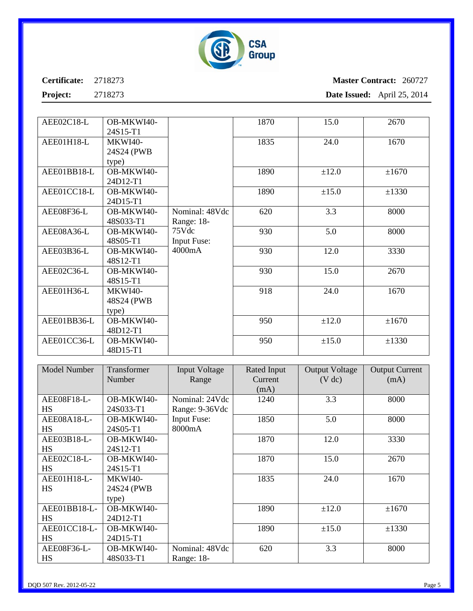

## **Master Contract:** 260727 **Date Issued:** April 25, 2014

**Project:** 2718273

| AEE02C18-L  | OB-MKWI40-     |                    | 1870 | 15.0  | 2670  |
|-------------|----------------|--------------------|------|-------|-------|
|             | 24S15-T1       |                    |      |       |       |
| AEE01H18-L  | <b>MKWI40-</b> |                    | 1835 | 24.0  | 1670  |
|             | 24S24 (PWB)    |                    |      |       |       |
|             | type)          |                    |      |       |       |
| AEE01BB18-L | OB-MKWI40-     |                    | 1890 | ±12.0 | ±1670 |
|             | 24D12-T1       |                    |      |       |       |
| AEE01CC18-L | OB-MKWI40-     |                    | 1890 | ±15.0 | ±1330 |
|             | 24D15-T1       |                    |      |       |       |
| AEE08F36-L  | OB-MKWI40-     | Nominal: 48Vdc     | 620  | 3.3   | 8000  |
|             | 48S033-T1      | Range: 18-         |      |       |       |
| AEE08A36-L  | OB-MKWI40-     | 75Vdc              | 930  | 5.0   | 8000  |
|             | 48S05-T1       | <b>Input Fuse:</b> |      |       |       |
| AEE03B36-L  | OB-MKWI40-     | 4000mA             | 930  | 12.0  | 3330  |
|             | 48S12-T1       |                    |      |       |       |
| AEE02C36-L  | OB-MKWI40-     |                    | 930  | 15.0  | 2670  |
|             | 48S15-T1       |                    |      |       |       |
| AEE01H36-L  | <b>MKWI40-</b> |                    | 918  | 24.0  | 1670  |
|             | 48S24 (PWB)    |                    |      |       |       |
|             | type)          |                    |      |       |       |
| AEE01BB36-L | OB-MKWI40-     |                    | 950  | ±12.0 | ±1670 |
|             | 48D12-T1       |                    |      |       |       |
| AEE01CC36-L | OB-MKWI40-     |                    | 950  | ±15.0 | ±1330 |
|             | 48D15-T1       |                    |      |       |       |

| <b>Model Number</b> | Transformer<br>Number | <b>Input Voltage</b><br>Range | Rated Input<br>Current | <b>Output Voltage</b><br>(V dc) | <b>Output Current</b><br>(mA) |
|---------------------|-----------------------|-------------------------------|------------------------|---------------------------------|-------------------------------|
|                     |                       |                               | (mA)                   |                                 |                               |
| AEE08F18-L-         | OB-MKWI40-            | Nominal: 24Vdc                | 1240                   | 3.3                             | 8000                          |
| <b>HS</b>           | 24S033-T1             | Range: 9-36Vdc                |                        |                                 |                               |
| AEE08A18-L-         | OB-MKWI40-            | <b>Input Fuse:</b>            | 1850                   | 5.0                             | 8000                          |
| HS                  | 24S05-T1              | 8000mA                        |                        |                                 |                               |
| AEE03B18-L-         | OB-MKWI40-            |                               | 1870                   | 12.0                            | 3330                          |
| <b>HS</b>           | 24S12-T1              |                               |                        |                                 |                               |
| AEE02C18-L-         | OB-MKWI40-            |                               | 1870                   | 15.0                            | 2670                          |
| <b>HS</b>           | 24S15-T1              |                               |                        |                                 |                               |
| AEE01H18-L-         | <b>MKWI40-</b>        |                               | 1835                   | 24.0                            | 1670                          |
| HS                  | 24S24 (PWB            |                               |                        |                                 |                               |
|                     | type)                 |                               |                        |                                 |                               |
| AEE01BB18-L-        | OB-MKWI40-            |                               | 1890                   | ±12.0                           | ±1670                         |
| <b>HS</b>           | 24D12-T1              |                               |                        |                                 |                               |
| AEE01CC18-L-        | OB-MKWI40-            |                               | 1890                   | ±15.0                           | ±1330                         |
| <b>HS</b>           | 24D15-T1              |                               |                        |                                 |                               |
| AEE08F36-L-         | OB-MKWI40-            | Nominal: 48Vdc                | 620                    | 3.3                             | 8000                          |
| <b>HS</b>           | 48S033-T1             | Range: 18-                    |                        |                                 |                               |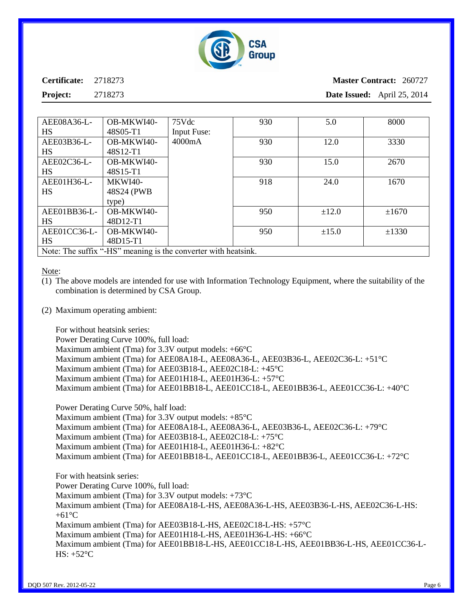

**Master Contract:** 260727 **Date Issued:** April 25, 2014

**Project:** 2718273

| AEE08A36-L-                                                    | OB-MKWI40- | 75Vdc              | 930 | 5.0        | 8000       |
|----------------------------------------------------------------|------------|--------------------|-----|------------|------------|
| HS                                                             | 48S05-T1   | <b>Input Fuse:</b> |     |            |            |
| AEE03B36-L-                                                    | OB-MKWI40- | 4000mA             | 930 | 12.0       | 3330       |
| HS                                                             | 48S12-T1   |                    |     |            |            |
| AEE02C36-L-                                                    | OB-MKWI40- |                    | 930 | 15.0       | 2670       |
| HS                                                             | 48S15-T1   |                    |     |            |            |
| AEE01H36-L-                                                    | MKWI40-    |                    | 918 | 24.0       | 1670       |
| HS                                                             | 48S24 (PWB |                    |     |            |            |
|                                                                | type)      |                    |     |            |            |
| AEE01BB36-L-                                                   | OB-MKWI40- |                    | 950 | $\pm 12.0$ | ±1670      |
| <b>HS</b>                                                      | 48D12-T1   |                    |     |            |            |
| AEE01CC36-L-                                                   | OB-MKWI40- |                    | 950 | $\pm 15.0$ | $\pm 1330$ |
| <b>HS</b>                                                      | 48D15-T1   |                    |     |            |            |
| Note: The suffix "-HS" meaning is the converter with heatsink. |            |                    |     |            |            |

Note:

- (1) The above models are intended for use with Information Technology Equipment, where the suitability of the combination is determined by CSA Group.
- (2) Maximum operating ambient:

For without heatsink series:

Power Derating Curve 100%, full load: Maximum ambient (Tma) for 3.3V output models: +66°C Maximum ambient (Tma) for AEE08A18-L, AEE08A36-L, AEE03B36-L, AEE02C36-L: +51°C Maximum ambient (Tma) for AEE03B18-L, AEE02C18-L: +45°C Maximum ambient (Tma) for AEE01H18-L, AEE01H36-L: +57°C Maximum ambient (Tma) for AEE01BB18-L, AEE01CC18-L, AEE01BB36-L, AEE01CC36-L: +40°C

Power Derating Curve 50%, half load:

Maximum ambient (Tma) for 3.3V output models:  $+85^{\circ}$ C Maximum ambient (Tma) for AEE08A18-L, AEE08A36-L, AEE03B36-L, AEE02C36-L: +79°C Maximum ambient (Tma) for AEE03B18-L, AEE02C18-L: +75°C Maximum ambient (Tma) for AEE01H18-L, AEE01H36-L: +82°C Maximum ambient (Tma) for AEE01BB18-L, AEE01CC18-L, AEE01BB36-L, AEE01CC36-L: +72°C

For with heatsink series: Power Derating Curve 100%, full load: Maximum ambient (Tma) for 3.3V output models: +73°C Maximum ambient (Tma) for AEE08A18-L-HS, AEE08A36-L-HS, AEE03B36-L-HS, AEE02C36-L-HS:  $+61^{\circ}$ C Maximum ambient (Tma) for AEE03B18-L-HS, AEE02C18-L-HS: +57°C Maximum ambient (Tma) for AEE01H18-L-HS, AEE01H36-L-HS: +66°C Maximum ambient (Tma) for AEE01BB18-L-HS, AEE01CC18-L-HS, AEE01BB36-L-HS, AEE01CC36-L-HS:  $+52^{\circ}$ C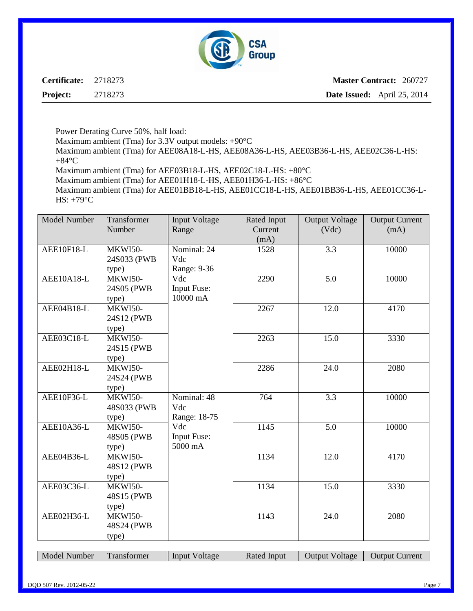

**Master Contract:** 260727 **Date Issued:** April 25, 2014

Power Derating Curve 50%, half load:

Maximum ambient (Tma) for 3.3V output models: +90°C

Maximum ambient (Tma) for AEE08A18-L-HS, AEE08A36-L-HS, AEE03B36-L-HS, AEE02C36-L-HS:  $+84^{\circ}C$ 

Maximum ambient (Tma) for AEE03B18-L-HS, AEE02C18-L-HS: +80°C

Maximum ambient (Tma) for AEE01H18-L-HS, AEE01H36-L-HS: +86°C

Maximum ambient (Tma) for AEE01BB18-L-HS, AEE01CC18-L-HS, AEE01BB36-L-HS, AEE01CC36-L-HS: +79°C

| Model Number | Transformer    | <b>Input Voltage</b> | Rated Input | <b>Output Voltage</b> | <b>Output Current</b> |
|--------------|----------------|----------------------|-------------|-----------------------|-----------------------|
|              | Number         | Range                | Current     | (Vdc)                 | (mA)                  |
|              |                |                      | (mA)        |                       |                       |
| AEE10F18-L   | MKWI50-        | Nominal: 24          | 1528        | 3.3                   | 10000                 |
|              | 24S033 (PWB    | Vdc                  |             |                       |                       |
|              | type)          | Range: 9-36          |             |                       |                       |
| $AEE10A18-L$ | MKWI50-        | Vdc                  | 2290        | 5.0                   | 10000                 |
|              | 24S05 (PWB     | <b>Input Fuse:</b>   |             |                       |                       |
|              | type)          | 10000 mA             |             |                       |                       |
| AEE04B18-L   | MKWI50-        |                      | 2267        | 12.0                  | 4170                  |
|              | 24S12 (PWB     |                      |             |                       |                       |
|              | type)          |                      |             |                       |                       |
| AEE03C18-L   | MKWI50-        |                      | 2263        | 15.0                  | 3330                  |
|              | 24S15 (PWB     |                      |             |                       |                       |
|              | type)          |                      |             |                       |                       |
| AEE02H18-L   | MKWI50-        |                      | 2286        | 24.0                  | 2080                  |
|              | 24S24 (PWB)    |                      |             |                       |                       |
|              | type)          |                      |             |                       |                       |
| AEE10F36-L   | MKWI50-        | Nominal: 48          | 764         | $\overline{3.3}$      | 10000                 |
|              | 48S033 (PWB    | Vdc                  |             |                       |                       |
|              | type)          | Range: 18-75         |             |                       |                       |
| AEE10A36-L   | MKWI50-        | Vdc                  | 1145        | 5.0                   | 10000                 |
|              | 48S05 (PWB     | <b>Input Fuse:</b>   |             |                       |                       |
|              | type)          | 5000 mA              |             |                       |                       |
| AEE04B36-L   | MKWI50-        |                      | 1134        | 12.0                  | 4170                  |
|              | 48S12 (PWB     |                      |             |                       |                       |
|              | type)          |                      |             |                       |                       |
| AEE03C36-L   | MKWI50-        |                      | 1134        | 15.0                  | 3330                  |
|              | 48S15 (PWB     |                      |             |                       |                       |
|              | type)          |                      |             |                       |                       |
| AEE02H36-L   | <b>MKWI50-</b> |                      | 1143        | 24.0                  | 2080                  |
|              | 48S24 (PWB     |                      |             |                       |                       |
|              | type)          |                      |             |                       |                       |
|              |                |                      |             |                       |                       |

Model Number | Transformer | Input Voltage | Rated Input | Output Voltage | Output Current |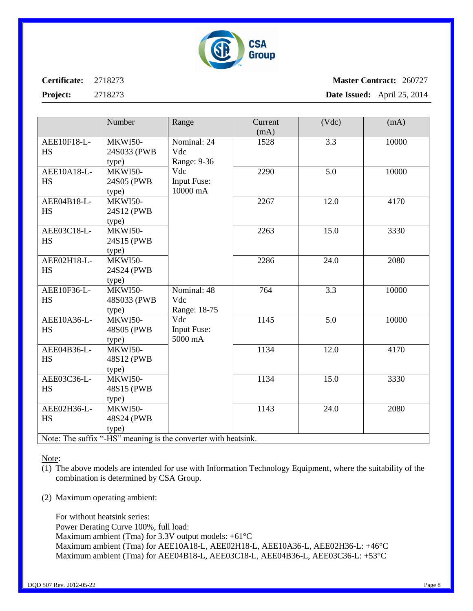

### **Master Contract:** 260727 **Date Issued:** April 25, 2014

|                          | Number                                 | Range                                                        | Current<br>(mA) | (Vdc)            | (mA)  |
|--------------------------|----------------------------------------|--------------------------------------------------------------|-----------------|------------------|-------|
| AEE10F18-L-<br><b>HS</b> | <b>MKWI50-</b><br>24S033 (PWB<br>type) | Nominal: 24<br>Vdc<br>Range: 9-36                            | 1528            | 3.3              | 10000 |
| AEE10A18-L-<br><b>HS</b> | MKWI50-<br>24S05 (PWB<br>type)         | Vdc<br><b>Input Fuse:</b><br>10000 mA                        | 2290            | $\overline{5.0}$ | 10000 |
| AEE04B18-L-<br><b>HS</b> | <b>MKWI50-</b><br>24S12 (PWB)<br>type) |                                                              | 2267            | 12.0             | 4170  |
| AEE03C18-L-<br><b>HS</b> | <b>MKWI50-</b><br>24S15 (PWB<br>type)  |                                                              | 2263            | 15.0             | 3330  |
| AEE02H18-L-<br><b>HS</b> | MKWI50-<br>24S24 (PWB<br>type)         |                                                              | 2286            | 24.0             | 2080  |
| AEE10F36-L-<br><b>HS</b> | <b>MKWI50-</b><br>48S033 (PWB<br>type) | Nominal: 48<br>Vdc<br>Range: 18-75                           | 764             | 3.3              | 10000 |
| AEE10A36-L-<br><b>HS</b> | MKWI50-<br>48S05 (PWB<br>type)         | Vdc<br>Input Fuse:<br>5000 mA                                | 1145            | 5.0              | 10000 |
| AEE04B36-L-<br><b>HS</b> | <b>MKWI50-</b><br>48S12 (PWB<br>type)  |                                                              | 1134            | 12.0             | 4170  |
| AEE03C36-L-<br><b>HS</b> | <b>MKWI50-</b><br>48S15 (PWB)<br>type) |                                                              | 1134            | 15.0             | 3330  |
| AEE02H36-L-<br><b>HS</b> | MKWI50-<br>48S24 (PWB<br>type)         | Note: The suffix " HC" meeting is the converter with bootein | 1143            | 24.0             | 2080  |

Note: The suffix "-HS" meaning is the converter with heatsink.

Note:

- (1) The above models are intended for use with Information Technology Equipment, where the suitability of the combination is determined by CSA Group.
- (2) Maximum operating ambient:

For without heatsink series: Power Derating Curve 100%, full load: Maximum ambient (Tma) for 3.3V output models:  $+61^{\circ}$ C Maximum ambient (Tma) for AEE10A18-L, AEE02H18-L, AEE10A36-L, AEE02H36-L: +46°C Maximum ambient (Tma) for AEE04B18-L, AEE03C18-L, AEE04B36-L, AEE03C36-L: +53°C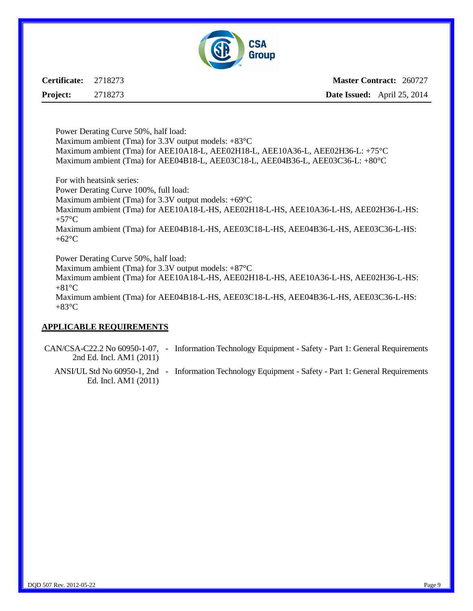

**Master Contract:** 260727 **Date Issued:** April 25, 2014

Power Derating Curve 50%, half load: Maximum ambient (Tma) for 3.3V output models:  $+83^{\circ}$ C Maximum ambient (Tma) for AEE10A18-L, AEE02H18-L, AEE10A36-L, AEE02H36-L: +75°C Maximum ambient (Tma) for AEE04B18-L, AEE03C18-L, AEE04B36-L, AEE03C36-L: +80°C

For with heatsink series: Power Derating Curve 100%, full load: Maximum ambient (Tma) for 3.3V output models: +69°C Maximum ambient (Tma) for AEE10A18-L-HS, AEE02H18-L-HS, AEE10A36-L-HS, AEE02H36-L-HS:  $+57^{\circ}C$ Maximum ambient (Tma) for AEE04B18-L-HS, AEE03C18-L-HS, AEE04B36-L-HS, AEE03C36-L-HS: +62°C

Power Derating Curve 50%, half load:

Maximum ambient (Tma) for 3.3V output models: +87°C

Maximum ambient (Tma) for AEE10A18-L-HS, AEE02H18-L-HS, AEE10A36-L-HS, AEE02H36-L-HS:  $+81^{\circ}$ C

Maximum ambient (Tma) for AEE04B18-L-HS, AEE03C18-L-HS, AEE04B36-L-HS, AEE03C36-L-HS:  $+83^{\circ}C$ 

#### **APPLICABLE REQUIREMENTS**

CAN/CSA-C22.2 No 60950-1-07, - Information Technology Equipment - Safety - Part 1: General Requirements 2nd Ed. Incl. AM1 (2011)

ANSI/UL Std No 60950-1, 2nd - Information Technology Equipment - Safety - Part 1: General RequirementsEd. Incl. AM1 (2011)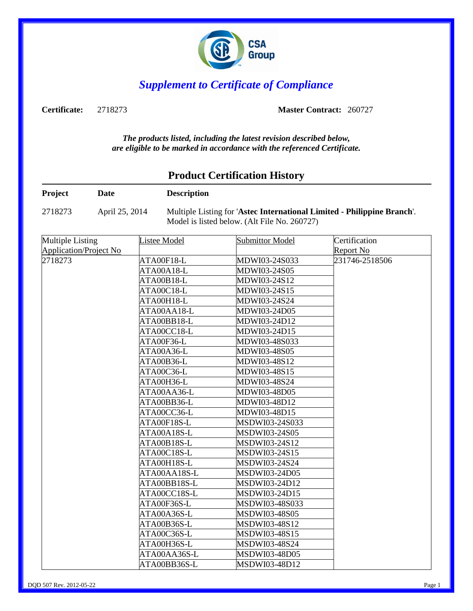

## *Supplement to Certificate of Compliance*

**Certificate:** 2718273 **Master Contract:** 260727

*The products listed, including the latest revision described below, are eligible to be marked in accordance with the referenced Certificate.*

## **Product Certification History**

| Project                       | <b>Date</b>    | <b>Description</b>  |                                                                                                                         |                  |
|-------------------------------|----------------|---------------------|-------------------------------------------------------------------------------------------------------------------------|------------------|
| 2718273                       | April 25, 2014 |                     | Multiple Listing for 'Astec International Limited - Philippine Branch'.<br>Model is listed below. (Alt File No. 260727) |                  |
| <b>Multiple Listing</b>       |                | <b>Listee Model</b> | <b>Submittor Model</b>                                                                                                  | Certification    |
| <b>Application/Project No</b> |                |                     |                                                                                                                         | <b>Report No</b> |
| 2718273                       | ATA00F18-L     | MDWI03-24S033       | 231746-2518506                                                                                                          |                  |
|                               |                | ATA00A18-L          | MDWI03-24S05                                                                                                            |                  |
|                               |                | ATA00B18-L          | MDWI03-24S12                                                                                                            |                  |
|                               |                | ATA00C18-L          | MDWI03-24S15                                                                                                            |                  |
|                               |                | ATA00H18-L          | MDWI03-24S24                                                                                                            |                  |
|                               |                | ATA00AA18-L         | MDWI03-24D05                                                                                                            |                  |
|                               |                | ATA00BB18-L         | MDWI03-24D12                                                                                                            |                  |
|                               |                | $ATA00CC18-L$       | MDWI03-24D15                                                                                                            |                  |
|                               |                | ATA00F36-L          | MDWI03-48S033                                                                                                           |                  |
|                               |                | ATA00A36-L          | MDWI03-48S05                                                                                                            |                  |
|                               | ATA00B36-L     | MDWI03-48S12        |                                                                                                                         |                  |
|                               |                | ATA00C36-L          | MDWI03-48S15                                                                                                            |                  |
|                               |                | ATA00H36-L          | MDWI03-48S24                                                                                                            |                  |
|                               |                | ATA00AA36-L         | MDWI03-48D05                                                                                                            |                  |
|                               |                | ATA00BB36-L         | MDWI03-48D12                                                                                                            |                  |
|                               |                | ATA00CC36-L         | MDWI03-48D15                                                                                                            |                  |
|                               |                | ATA00F18S-L         | MSDWI03-24S033                                                                                                          |                  |
|                               |                | ATA00A18S-L         | MSDWI03-24S05                                                                                                           |                  |
|                               |                | ATA00B18S-L         | MSDWI03-24S12                                                                                                           |                  |
|                               |                | ATA00C18S-L         | MSDWI03-24S15                                                                                                           |                  |
|                               |                | ATA00H18S-L         | MSDWI03-24S24                                                                                                           |                  |
|                               |                | ATA00AA18S-L        | MSDWI03-24D05                                                                                                           |                  |
|                               |                | ATA00BB18S-L        | MSDWI03-24D12                                                                                                           |                  |
|                               |                | ATA00CC18S-L        | MSDWI03-24D15                                                                                                           |                  |
|                               |                | ATA00F36S-L         | MSDWI03-48S033                                                                                                          |                  |
|                               |                | ATA00A36S-L         | MSDWI03-48S05                                                                                                           |                  |
|                               |                | ATA00B36S-L         | MSDWI03-48S12                                                                                                           |                  |
|                               |                | ATA00C36S-L         | MSDWI03-48S15                                                                                                           |                  |
|                               |                | ATA00H36S-L         | MSDWI03-48S24                                                                                                           |                  |
|                               |                | ATA00AA36S-L        | MSDWI03-48D05                                                                                                           |                  |
|                               |                | ATA00BB36S-L        | MSDWI03-48D12                                                                                                           |                  |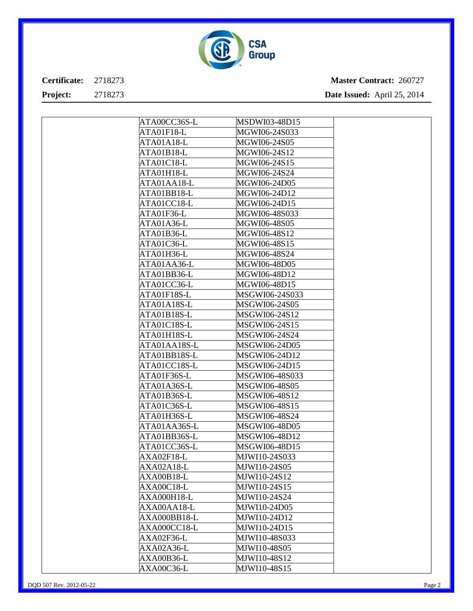

| ATA00CC36S-L       | MSDWI03-48D15  |  |
|--------------------|----------------|--|
| ATA01F18-L         | MGWI06-24S033  |  |
| ATA01A18-L         | MGWI06-24S05   |  |
| ATA01B18-L         | MGWI06-24S12   |  |
| ATA01C18-L         | MGWI06-24S15   |  |
| ATA01H18-L         | MGWI06-24S24   |  |
| ATA01AA18-L        | MGWI06-24D05   |  |
| ATA01BB18-L        | MGWI06-24D12   |  |
| ATA01CC18-L        | MGWI06-24D15   |  |
| ATA01F36-L         | MGWI06-48S033  |  |
| ATA01A36-L         | MGWI06-48S05   |  |
| ATA01B36-L         | MGWI06-48S12   |  |
| ATA01C36-L         | MGWI06-48S15   |  |
| ATA01H36-L         | MGWI06-48S24   |  |
| ATA01AA36-L        | MGWI06-48D05   |  |
| ATA01BB36-L        | MGWI06-48D12   |  |
| ATA01CC36-L        | MGWI06-48D15   |  |
| ATA01F18S-L        | MSGWI06-24S033 |  |
| ATA01A18S-L        | MSGWI06-24S05  |  |
| ATA01B18S-L        | MSGWI06-24S12  |  |
| ATA01C18S-L        | MSGWI06-24S15  |  |
| ATA01H18S-L        | MSGWI06-24S24  |  |
| ATA01AA18S-L       | MSGWI06-24D05  |  |
| ATA01BB18S-L       | MSGWI06-24D12  |  |
| ATA01CC18S-L       | MSGWI06-24D15  |  |
| ATA01F36S-L        | MSGWI06-48S033 |  |
| ATA01A36S-L        | MSGWI06-48S05  |  |
| ATA01B36S-L        | MSGWI06-48S12  |  |
| ATA01C36S-L        | MSGWI06-48S15  |  |
| ATA01H36S-L        | MSGWI06-48S24  |  |
| ATA01AA36S-L       | MSGWI06-48D05  |  |
| ATA01BB36S-L       | MSGWI06-48D12  |  |
| ATA01CC36S-L       | MSGWI06-48D15  |  |
| AXA02F18-L         | MJWI10-24S033  |  |
| AXA02A18-L         | MJWI10-24S05   |  |
| AXA00B18-L         | MJWI10-24S12   |  |
| AXA00C18-L         | MJWI10-24S15   |  |
| <b>AXA000H18-L</b> | MJWI10-24S24   |  |
| AXA00AA18-L        | MJWI10-24D05   |  |
| AXA000BB18-L       | MJWI10-24D12   |  |
| AXA000CC18-L       | MJWI10-24D15   |  |
| AXA02F36-L         | MJWI10-48S033  |  |
| AXA02A36-L         | MJWI10-48S05   |  |
| AXA00B36-L         | MJWI10-48S12   |  |
| AXA00C36-L         | MJWI10-48S15   |  |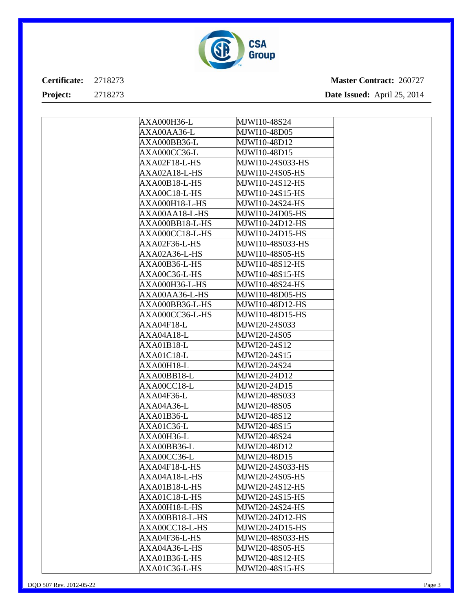

| AXA000H36-L   |                 | MJWI10-48S24     |  |
|---------------|-----------------|------------------|--|
| AXA00AA36-L   |                 | MJWI10-48D05     |  |
| AXA000BB36-L  |                 | MJWI10-48D12     |  |
| AXA000CC36-L  |                 | MJWI10-48D15     |  |
| AXA02F18-L-HS |                 | MJWI10-24S033-HS |  |
|               | AXA02A18-L-HS   | MJWI10-24S05-HS  |  |
|               | AXA00B18-L-HS   | MJWI10-24S12-HS  |  |
|               | AXA00C18-L-HS   | MJWI10-24S15-HS  |  |
|               | AXA000H18-L-HS  | MJWI10-24S24-HS  |  |
|               | AXA00AA18-L-HS  | MJWI10-24D05-HS  |  |
|               | AXA000BB18-L-HS | MJWI10-24D12-HS  |  |
|               | AXA000CC18-L-HS | MJWI10-24D15-HS  |  |
| AXA02F36-L-HS |                 | MJWI10-48S033-HS |  |
|               | AXA02A36-L-HS   | MJWI10-48S05-HS  |  |
|               | AXA00B36-L-HS   | MJWI10-48S12-HS  |  |
|               | AXA00C36-L-HS   | MJWI10-48S15-HS  |  |
|               | AXA000H36-L-HS  | MJWI10-48S24-HS  |  |
|               | AXA00AA36-L-HS  | MJWI10-48D05-HS  |  |
|               | AXA000BB36-L-HS | MJWI10-48D12-HS  |  |
|               | AXA000CC36-L-HS | MJWI10-48D15-HS  |  |
| AXA04F18-L    |                 | MJWI20-24S033    |  |
| AXA04A18-L    |                 | MJWI20-24S05     |  |
| AXA01B18-L    |                 | MJWI20-24S12     |  |
| AXA01C18-L    |                 | MJWI20-24S15     |  |
| AXA00H18-L    |                 | MJWI20-24S24     |  |
| AXA00BB18-L   |                 | MJWI20-24D12     |  |
| AXA00CC18-L   |                 | MJWI20-24D15     |  |
| AXA04F36-L    |                 | MJWI20-48S033    |  |
| AXA04A36-L    |                 | MJWI20-48S05     |  |
| AXA01B36-L    |                 | MJWI20-48S12     |  |
| AXA01C36-L    |                 | MJWI20-48S15     |  |
| AXA00H36-L    |                 | MJWI20-48S24     |  |
| AXA00BB36-L   |                 | MJWI20-48D12     |  |
| AXA00CC36-L   |                 | MJWI20-48D15     |  |
| AXA04F18-L-HS |                 | MJWI20-24S033-HS |  |
|               | AXA04A18-L-HS   | MJWI20-24S05-HS  |  |
|               | AXA01B18-L-HS   | MJWI20-24S12-HS  |  |
|               | AXA01C18-L-HS   | MJWI20-24S15-HS  |  |
|               | AXA00H18-L-HS   | MJWI20-24S24-HS  |  |
|               | AXA00BB18-L-HS  | MJWI20-24D12-HS  |  |
|               | AXA00CC18-L-HS  | MJWI20-24D15-HS  |  |
| AXA04F36-L-HS |                 | MJWI20-48S033-HS |  |
|               | AXA04A36-L-HS   | MJWI20-48S05-HS  |  |
|               | AXA01B36-L-HS   | MJWI20-48S12-HS  |  |
|               | AXA01C36-L-HS   | MJWI20-48S15-HS  |  |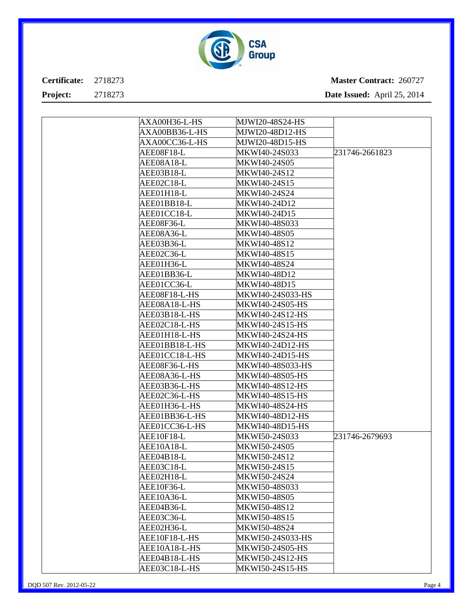

| AXA00H36-L-HS  | MJWI20-48S24-HS        |                |
|----------------|------------------------|----------------|
| AXA00BB36-L-HS | MJWI20-48D12-HS        |                |
| AXA00CC36-L-HS | MJWI20-48D15-HS        |                |
| AEE08F18-L     | MKWI40-24S033          | 231746-2661823 |
| AEE08A18-L     | MKWI40-24S05           |                |
| AEE03B18-L     | MKWI40-24S12           |                |
| AEE02C18-L     | MKWI40-24S15           |                |
| AEE01H18-L     | MKWI40-24S24           |                |
| AEE01BB18-L    | MKWI40-24D12           |                |
| AEE01CC18-L    | MKWI40-24D15           |                |
| AEE08F36-L     | MKWI40-48S033          |                |
| AEE08A36-L     | MKWI40-48S05           |                |
| AEE03B36-L     | MKWI40-48S12           |                |
| AEE02C36-L     | MKWI40-48S15           |                |
| AEE01H36-L     | MKWI40-48S24           |                |
| AEE01BB36-L    | MKWI40-48D12           |                |
| AEE01CC36-L    | MKWI40-48D15           |                |
| AEE08F18-L-HS  | MKWI40-24S033-HS       |                |
| AEE08A18-L-HS  | <b>MKWI40-24S05-HS</b> |                |
| AEE03B18-L-HS  | MKWI40-24S12-HS        |                |
| AEE02C18-L-HS  | MKWI40-24S15-HS        |                |
| AEE01H18-L-HS  | MKWI40-24S24-HS        |                |
| AEE01BB18-L-HS | <b>MKWI40-24D12-HS</b> |                |
| AEE01CC18-L-HS | MKWI40-24D15-HS        |                |
| AEE08F36-L-HS  | MKWI40-48S033-HS       |                |
| AEE08A36-L-HS  | <b>MKWI40-48S05-HS</b> |                |
| AEE03B36-L-HS  | MKWI40-48S12-HS        |                |
| AEE02C36-L-HS  | <b>MKWI40-48S15-HS</b> |                |
| AEE01H36-L-HS  | MKWI40-48S24-HS        |                |
| AEE01BB36-L-HS | <b>MKWI40-48D12-HS</b> |                |
| AEE01CC36-L-HS | MKWI40-48D15-HS        |                |
| AEE10F18-L     | MKWI50-24S033          | 231746-2679693 |
| AEE10A18-L     | MKWI50-24S05           |                |
| AEE04B18-L     | MKWI50-24S12           |                |
| AEE03C18-L     | MKWI50-24S15           |                |
| AEE02H18-L     | MKWI50-24S24           |                |
| AEE10F36-L     | MKWI50-48S033          |                |
| AEE10A36-L     | MKWI50-48S05           |                |
| AEE04B36-L     | MKWI50-48S12           |                |
| AEE03C36-L     | MKWI50-48S15           |                |
| AEE02H36-L     | MKWI50-48S24           |                |
| AEE10F18-L-HS  | MKWI50-24S033-HS       |                |
| AEE10A18-L-HS  | MKWI50-24S05-HS        |                |
| AEE04B18-L-HS  | MKWI50-24S12-HS        |                |
| AEE03C18-L-HS  | MKWI50-24S15-HS        |                |